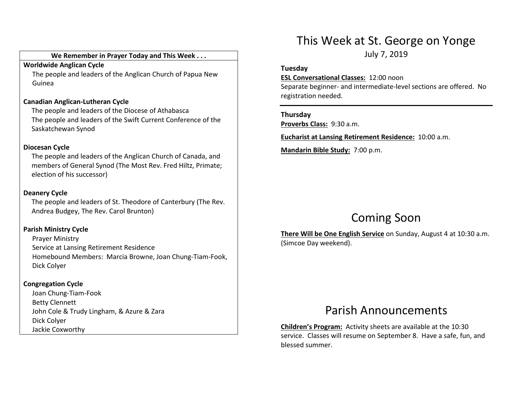### We Remember in Prayer Today and This Week . . .

#### Worldwide Anglican Cycle

 The people and leaders of the Anglican Church of Papua New Guinea

#### Canadian Anglican-Lutheran Cycle

The people and leaders of the Diocese of Athabasca The people and leaders of the Swift Current Conference of the Saskatchewan Synod

#### Diocesan Cycle

The people and leaders of the Anglican Church of Canada, and members of General Synod (The Most Rev. Fred Hiltz, Primate; election of his successor)

### Deanery Cycle

The people and leaders of St. Theodore of Canterbury (The Rev. Andrea Budgey, The Rev. Carol Brunton)

### Parish Ministry Cycle

Prayer Ministry Service at Lansing Retirement Residence Homebound Members: Marcia Browne, Joan Chung-Tiam-Fook, Dick Colyer

## Congregation Cycle

Joan Chung-Tiam-Fook Betty Clennett John Cole & Trudy Lingham, & Azure & Zara Dick Colyer Jackie Coxworthy

# This Week at St. George on Yonge

July 7, 2019

#### Tuesday

ESL Conversational Classes: 12:00 noon

Separate beginner- and intermediate-level sections are offered. No registration needed.

#### Thursday

Proverbs Class: 9:30 a.m.

Eucharist at Lansing Retirement Residence: 10:00 a.m.

Mandarin Bible Study: 7:00 p.m.

# Coming Soon

There Will be One English Service on Sunday, August 4 at 10:30 a.m. (Simcoe Day weekend).

## Parish Announcements

Children's Program: Activity sheets are available at the 10:30 service. Classes will resume on September 8. Have a safe, fun, and blessed summer.